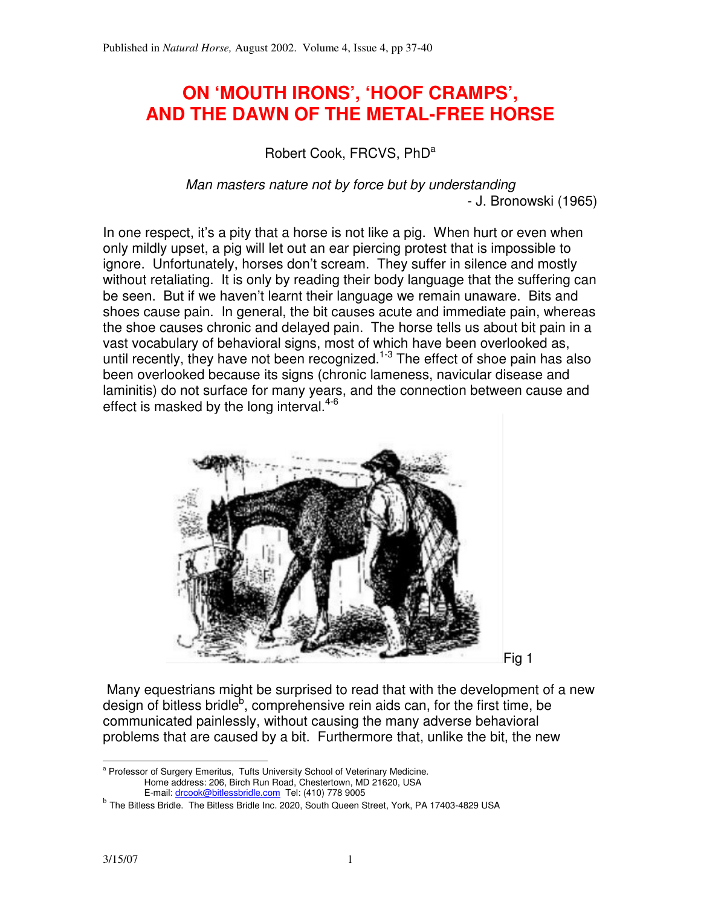## **ON 'MOUTH IRONS', 'HOOF CRAMPS', AND THE DAWN OF THE METAL-FREE HORSE**

Robert Cook, FRCVS, PhD<sup>a</sup>

Man masters nature not by force but by understanding - J. Bronowski (1965)

In one respect, it's a pity that a horse is not like a pig. When hurt or even when only mildly upset, a pig will let out an ear piercing protest that is impossible to ignore. Unfortunately, horses don't scream. They suffer in silence and mostly without retaliating. It is only by reading their body language that the suffering can be seen. But if we haven't learnt their language we remain unaware. Bits and shoes cause pain. In general, the bit causes acute and immediate pain, whereas the shoe causes chronic and delayed pain. The horse tells us about bit pain in a vast vocabulary of behavioral signs, most of which have been overlooked as, until recently, they have not been recognized.<sup>1-3</sup> The effect of shoe pain has also been overlooked because its signs (chronic lameness, navicular disease and laminitis) do not surface for many years, and the connection between cause and effect is masked by the long interval.<sup>4-6</sup>



Fig 1

 Many equestrians might be surprised to read that with the development of a new design of bitless bridle $b$ , comprehensive rein aids can, for the first time, be communicated painlessly, without causing the many adverse behavioral problems that are caused by a bit. Furthermore that, unlike the bit, the new

a<br>Professor of Surgery Emeritus, Tufts University School of Veterinary Medicine. Home address: 206, Birch Run Road, Chestertown, MD 21620, USA E-mail: drcook@bitlessbridle.com Tel: (410) 778 9005

<sup>&</sup>lt;sup>b</sup> The Bitless Bridle. The Bitless Bridle Inc. 2020, South Queen Street, York, PA 17403-4829 USA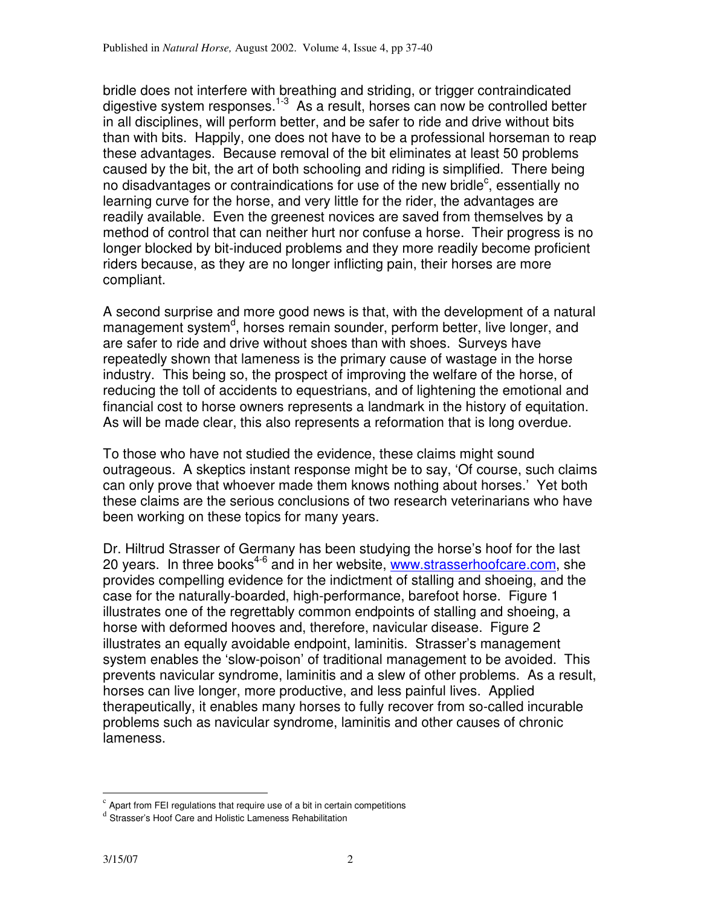bridle does not interfere with breathing and striding, or trigger contraindicated digestive system responses.<sup>1-3</sup> As a result, horses can now be controlled better in all disciplines, will perform better, and be safer to ride and drive without bits than with bits. Happily, one does not have to be a professional horseman to reap these advantages. Because removal of the bit eliminates at least 50 problems caused by the bit, the art of both schooling and riding is simplified. There being no disadvantages or contraindications for use of the new bridle $\text{c}_1$ , essentially no learning curve for the horse, and very little for the rider, the advantages are readily available. Even the greenest novices are saved from themselves by a method of control that can neither hurt nor confuse a horse. Their progress is no longer blocked by bit-induced problems and they more readily become proficient riders because, as they are no longer inflicting pain, their horses are more compliant.

A second surprise and more good news is that, with the development of a natural management system<sup>d</sup>, horses remain sounder, perform better, live longer, and are safer to ride and drive without shoes than with shoes. Surveys have repeatedly shown that lameness is the primary cause of wastage in the horse industry. This being so, the prospect of improving the welfare of the horse, of reducing the toll of accidents to equestrians, and of lightening the emotional and financial cost to horse owners represents a landmark in the history of equitation. As will be made clear, this also represents a reformation that is long overdue.

To those who have not studied the evidence, these claims might sound outrageous. A skeptics instant response might be to say, 'Of course, such claims can only prove that whoever made them knows nothing about horses.' Yet both these claims are the serious conclusions of two research veterinarians who have been working on these topics for many years.

Dr. Hiltrud Strasser of Germany has been studying the horse's hoof for the last 20 years. In three books4-6 and in her website, www.strasserhoofcare.com, she provides compelling evidence for the indictment of stalling and shoeing, and the case for the naturally-boarded, high-performance, barefoot horse. Figure 1 illustrates one of the regrettably common endpoints of stalling and shoeing, a horse with deformed hooves and, therefore, navicular disease. Figure 2 illustrates an equally avoidable endpoint, laminitis. Strasser's management system enables the 'slow-poison' of traditional management to be avoided. This prevents navicular syndrome, laminitis and a slew of other problems. As a result, horses can live longer, more productive, and less painful lives. Applied therapeutically, it enables many horses to fully recover from so-called incurable problems such as navicular syndrome, laminitis and other causes of chronic lameness.

 $\frac{c}{c}$  Apart from FEI regulations that require use of a bit in certain competitions

d Strasser's Hoof Care and Holistic Lameness Rehabilitation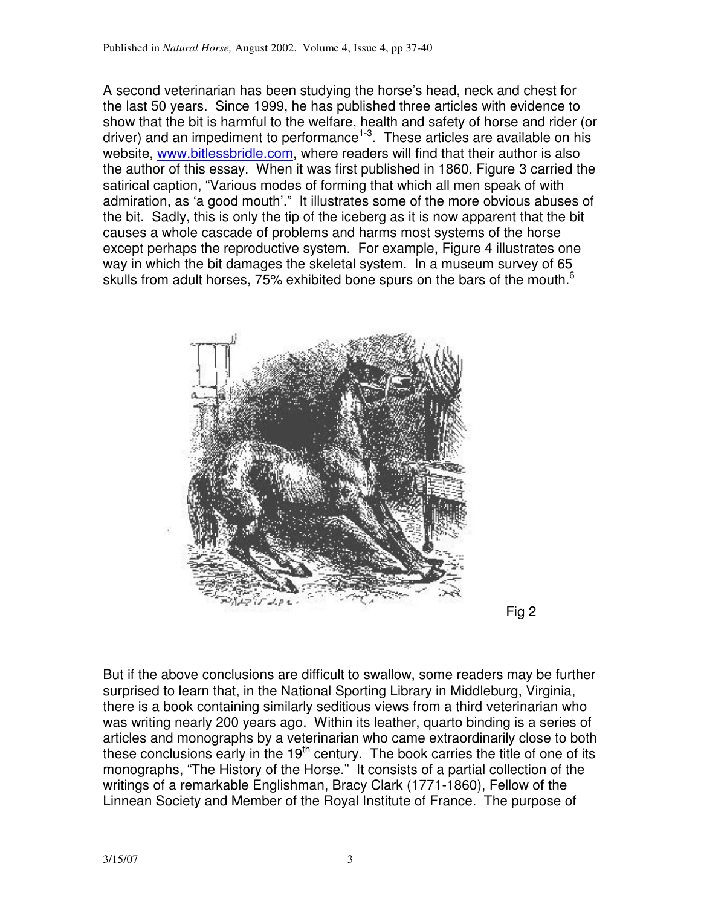A second veterinarian has been studying the horse's head, neck and chest for the last 50 years. Since 1999, he has published three articles with evidence to show that the bit is harmful to the welfare, health and safety of horse and rider (or driver) and an impediment to performance<sup>1-3</sup>. These articles are available on his website, www.bitlessbridle.com, where readers will find that their author is also the author of this essay. When it was first published in 1860, Figure 3 carried the satirical caption, "Various modes of forming that which all men speak of with admiration, as 'a good mouth'." It illustrates some of the more obvious abuses of the bit. Sadly, this is only the tip of the iceberg as it is now apparent that the bit causes a whole cascade of problems and harms most systems of the horse except perhaps the reproductive system. For example, Figure 4 illustrates one way in which the bit damages the skeletal system. In a museum survey of 65 skulls from adult horses, 75% exhibited bone spurs on the bars of the mouth.<sup>6</sup>



Fig 2

But if the above conclusions are difficult to swallow, some readers may be further surprised to learn that, in the National Sporting Library in Middleburg, Virginia, there is a book containing similarly seditious views from a third veterinarian who was writing nearly 200 years ago. Within its leather, quarto binding is a series of articles and monographs by a veterinarian who came extraordinarily close to both these conclusions early in the  $19<sup>th</sup>$  century. The book carries the title of one of its monographs, "The History of the Horse." It consists of a partial collection of the writings of a remarkable Englishman, Bracy Clark (1771-1860), Fellow of the Linnean Society and Member of the Royal Institute of France. The purpose of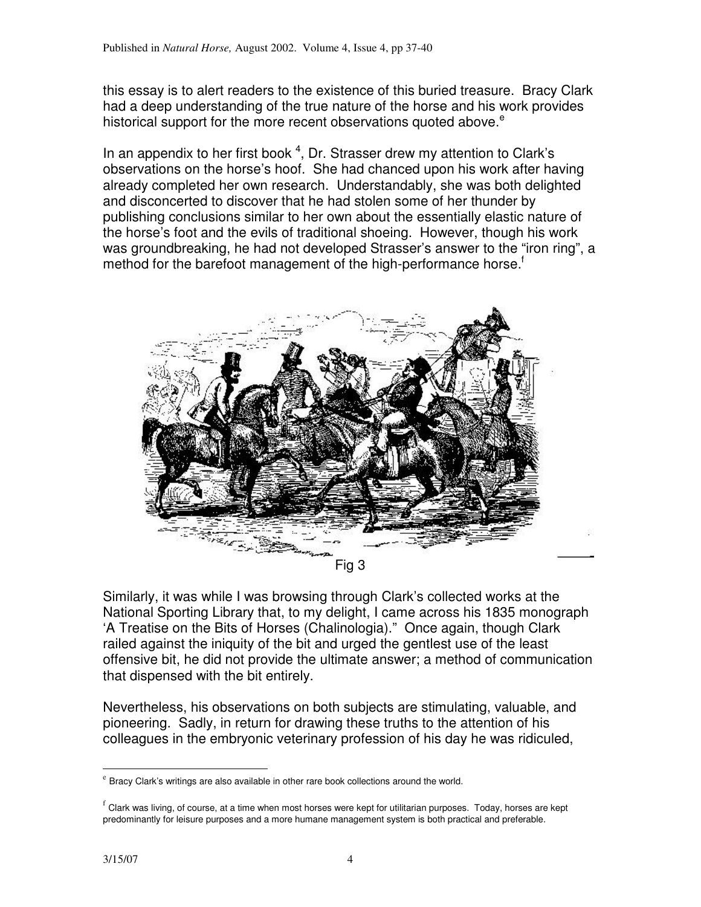this essay is to alert readers to the existence of this buried treasure. Bracy Clark had a deep understanding of the true nature of the horse and his work provides historical support for the more recent observations quoted above. $^e$ 

In an appendix to her first book  $4$ , Dr. Strasser drew my attention to Clark's observations on the horse's hoof. She had chanced upon his work after having already completed her own research. Understandably, she was both delighted and disconcerted to discover that he had stolen some of her thunder by publishing conclusions similar to her own about the essentially elastic nature of the horse's foot and the evils of traditional shoeing. However, though his work was groundbreaking, he had not developed Strasser's answer to the "iron ring", a method for the barefoot management of the high-performance horse.<sup>†</sup>



Similarly, it was while I was browsing through Clark's collected works at the National Sporting Library that, to my delight, I came across his 1835 monograph 'A Treatise on the Bits of Horses (Chalinologia)." Once again, though Clark railed against the iniquity of the bit and urged the gentlest use of the least offensive bit, he did not provide the ultimate answer; a method of communication that dispensed with the bit entirely.

Nevertheless, his observations on both subjects are stimulating, valuable, and pioneering. Sadly, in return for drawing these truths to the attention of his colleagues in the embryonic veterinary profession of his day he was ridiculed,

-

 $^e$  Bracy Clark's writings are also available in other rare book collections around the world.

 $^{\rm f}$  Clark was living, of course, at a time when most horses were kept for utilitarian purposes. Today, horses are kept predominantly for leisure purposes and a more humane management system is both practical and preferable.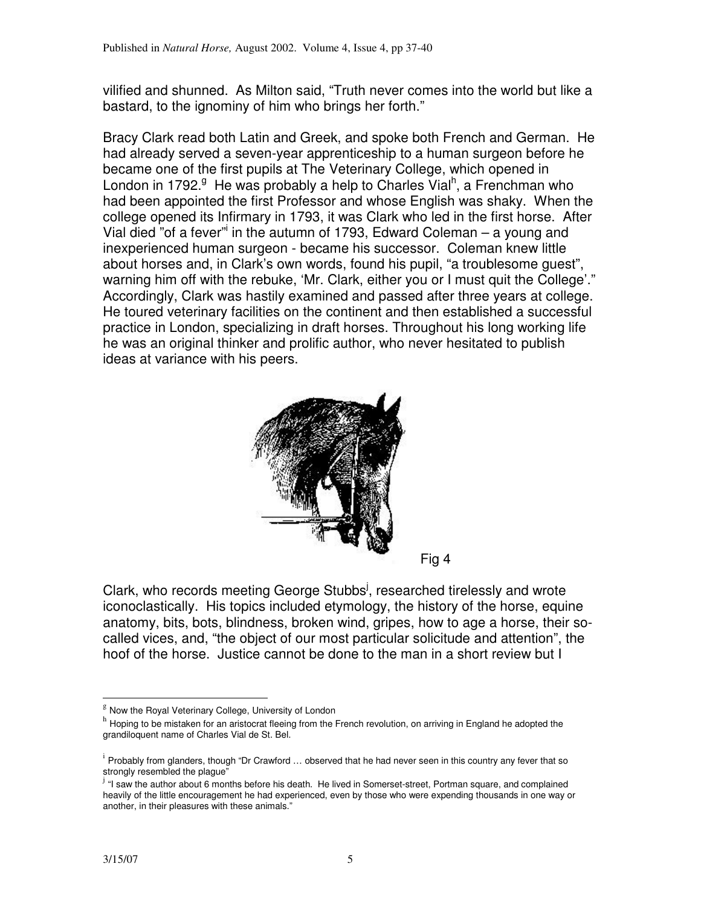vilified and shunned. As Milton said, "Truth never comes into the world but like a bastard, to the ignominy of him who brings her forth."

Bracy Clark read both Latin and Greek, and spoke both French and German. He had already served a seven-year apprenticeship to a human surgeon before he became one of the first pupils at The Veterinary College, which opened in London in 1792.<sup>g</sup> He was probably a help to Charles Vial<sup>h</sup>, a Frenchman who had been appointed the first Professor and whose English was shaky. When the college opened its Infirmary in 1793, it was Clark who led in the first horse. After Vial died "of a fever" in the autumn of 1793, Edward Coleman - a young and inexperienced human surgeon - became his successor. Coleman knew little about horses and, in Clark's own words, found his pupil, "a troublesome guest", warning him off with the rebuke, 'Mr. Clark, either you or I must quit the College'." Accordingly, Clark was hastily examined and passed after three years at college. He toured veterinary facilities on the continent and then established a successful practice in London, specializing in draft horses. Throughout his long working life he was an original thinker and prolific author, who never hesitated to publish ideas at variance with his peers.



Fig 4

Clark, who records meeting George Stubbs<sup>i</sup>, researched tirelessly and wrote iconoclastically. His topics included etymology, the history of the horse, equine anatomy, bits, bots, blindness, broken wind, gripes, how to age a horse, their socalled vices, and, "the object of our most particular solicitude and attention", the hoof of the horse. Justice cannot be done to the man in a short review but I

j

<sup>&</sup>lt;sup>g</sup> Now the Royal Veterinary College, University of London

<sup>&</sup>lt;sup>h</sup> Hoping to be mistaken for an aristocrat fleeing from the French revolution, on arriving in England he adopted the grandiloquent name of Charles Vial de St. Bel.

<sup>&</sup>lt;sup>i</sup> Probably from glanders, though "Dr Crawford ... observed that he had never seen in this country any fever that so strongly resembled the plaque"

<sup>&</sup>lt;sup>j</sup> "I saw the author about 6 months before his death. He lived in Somerset-street, Portman square, and complained heavily of the little encouragement he had experienced, even by those who were expending thousands in one way or another, in their pleasures with these animals."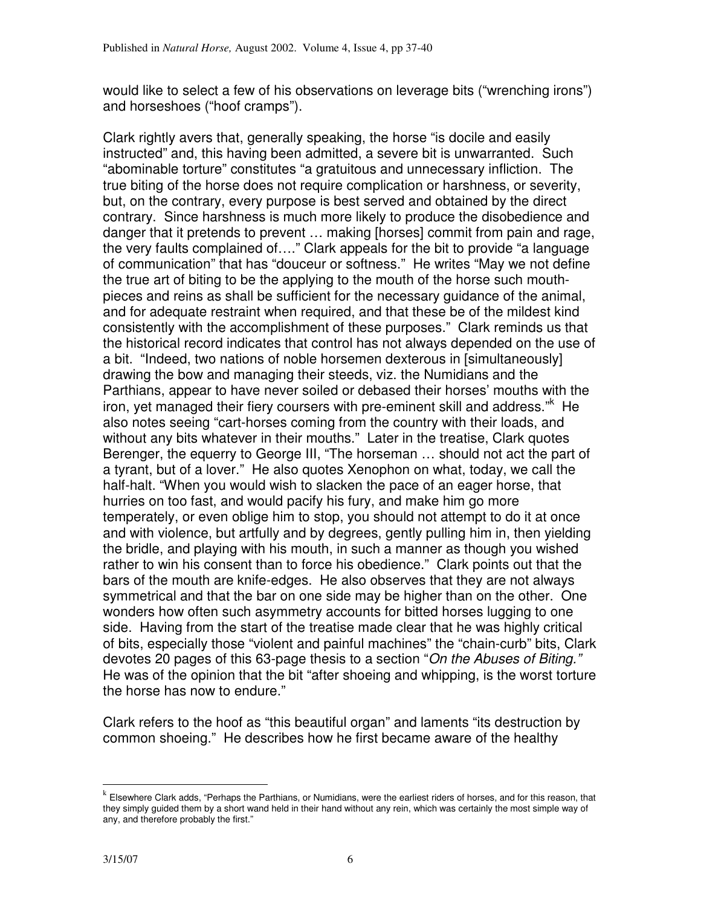would like to select a few of his observations on leverage bits ("wrenching irons") and horseshoes ("hoof cramps").

Clark rightly avers that, generally speaking, the horse "is docile and easily instructed" and, this having been admitted, a severe bit is unwarranted. Such "abominable torture" constitutes "a gratuitous and unnecessary infliction. The true biting of the horse does not require complication or harshness, or severity, but, on the contrary, every purpose is best served and obtained by the direct contrary. Since harshness is much more likely to produce the disobedience and danger that it pretends to prevent … making [horses] commit from pain and rage, the very faults complained of…." Clark appeals for the bit to provide "a language of communication" that has "douceur or softness." He writes "May we not define the true art of biting to be the applying to the mouth of the horse such mouthpieces and reins as shall be sufficient for the necessary guidance of the animal, and for adequate restraint when required, and that these be of the mildest kind consistently with the accomplishment of these purposes." Clark reminds us that the historical record indicates that control has not always depended on the use of a bit. "Indeed, two nations of noble horsemen dexterous in [simultaneously] drawing the bow and managing their steeds, viz. the Numidians and the Parthians, appear to have never soiled or debased their horses' mouths with the iron, yet managed their fiery coursers with pre-eminent skill and address.<sup>\*\*</sup> He also notes seeing "cart-horses coming from the country with their loads, and without any bits whatever in their mouths." Later in the treatise, Clark quotes Berenger, the equerry to George III, "The horseman … should not act the part of a tyrant, but of a lover." He also quotes Xenophon on what, today, we call the half-halt. "When you would wish to slacken the pace of an eager horse, that hurries on too fast, and would pacify his fury, and make him go more temperately, or even oblige him to stop, you should not attempt to do it at once and with violence, but artfully and by degrees, gently pulling him in, then yielding the bridle, and playing with his mouth, in such a manner as though you wished rather to win his consent than to force his obedience." Clark points out that the bars of the mouth are knife-edges. He also observes that they are not always symmetrical and that the bar on one side may be higher than on the other. One wonders how often such asymmetry accounts for bitted horses lugging to one side. Having from the start of the treatise made clear that he was highly critical of bits, especially those "violent and painful machines" the "chain-curb" bits, Clark devotes 20 pages of this 63-page thesis to a section "On the Abuses of Biting." He was of the opinion that the bit "after shoeing and whipping, is the worst torture the horse has now to endure."

Clark refers to the hoof as "this beautiful organ" and laments "its destruction by common shoeing." He describes how he first became aware of the healthy

l

<sup>&</sup>lt;sup>k</sup> Elsewhere Clark adds, "Perhaps the Parthians, or Numidians, were the earliest riders of horses, and for this reason, that they simply guided them by a short wand held in their hand without any rein, which was certainly the most simple way of any, and therefore probably the first."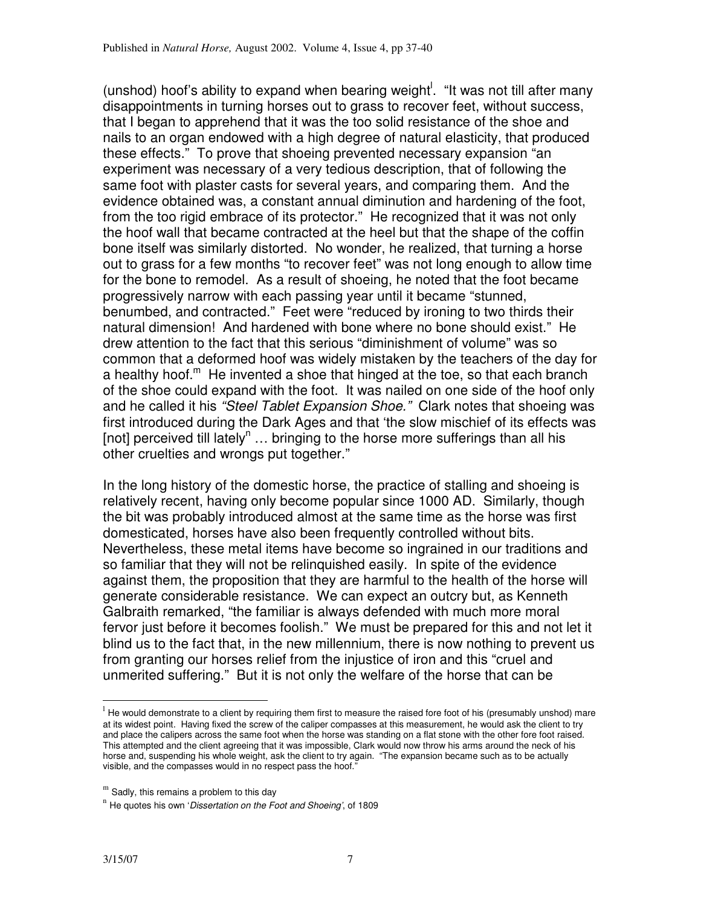(unshod) hoof's ability to expand when bearing weight<sup>!</sup>. "It was not till after many disappointments in turning horses out to grass to recover feet, without success, that I began to apprehend that it was the too solid resistance of the shoe and nails to an organ endowed with a high degree of natural elasticity, that produced these effects." To prove that shoeing prevented necessary expansion "an experiment was necessary of a very tedious description, that of following the same foot with plaster casts for several years, and comparing them. And the evidence obtained was, a constant annual diminution and hardening of the foot, from the too rigid embrace of its protector." He recognized that it was not only the hoof wall that became contracted at the heel but that the shape of the coffin bone itself was similarly distorted. No wonder, he realized, that turning a horse out to grass for a few months "to recover feet" was not long enough to allow time for the bone to remodel. As a result of shoeing, he noted that the foot became progressively narrow with each passing year until it became "stunned, benumbed, and contracted." Feet were "reduced by ironing to two thirds their natural dimension! And hardened with bone where no bone should exist." He drew attention to the fact that this serious "diminishment of volume" was so common that a deformed hoof was widely mistaken by the teachers of the day for a healthy hoof.<sup>m</sup> He invented a shoe that hinged at the toe, so that each branch of the shoe could expand with the foot. It was nailed on one side of the hoof only and he called it his "Steel Tablet Expansion Shoe." Clark notes that shoeing was first introduced during the Dark Ages and that 'the slow mischief of its effects was [not] perceived till lately<sup>n</sup> ... bringing to the horse more sufferings than all his other cruelties and wrongs put together."

In the long history of the domestic horse, the practice of stalling and shoeing is relatively recent, having only become popular since 1000 AD. Similarly, though the bit was probably introduced almost at the same time as the horse was first domesticated, horses have also been frequently controlled without bits. Nevertheless, these metal items have become so ingrained in our traditions and so familiar that they will not be relinquished easily. In spite of the evidence against them, the proposition that they are harmful to the health of the horse will generate considerable resistance. We can expect an outcry but, as Kenneth Galbraith remarked, "the familiar is always defended with much more moral fervor just before it becomes foolish." We must be prepared for this and not let it blind us to the fact that, in the new millennium, there is now nothing to prevent us from granting our horses relief from the injustice of iron and this "cruel and unmerited suffering." But it is not only the welfare of the horse that can be

j

 $^{\rm l}$  He would demonstrate to a client by requiring them first to measure the raised fore foot of his (presumably unshod) mare at its widest point. Having fixed the screw of the caliper compasses at this measurement, he would ask the client to try and place the calipers across the same foot when the horse was standing on a flat stone with the other fore foot raised. This attempted and the client agreeing that it was impossible, Clark would now throw his arms around the neck of his horse and, suspending his whole weight, ask the client to try again. "The expansion became such as to be actually visible, and the compasses would in no respect pass the hoof."

 $^{\rm m}$  Sadly, this remains a problem to this day

<sup>&</sup>lt;sup>n</sup> He quotes his own 'Dissertation on the Foot and Shoeing', of 1809